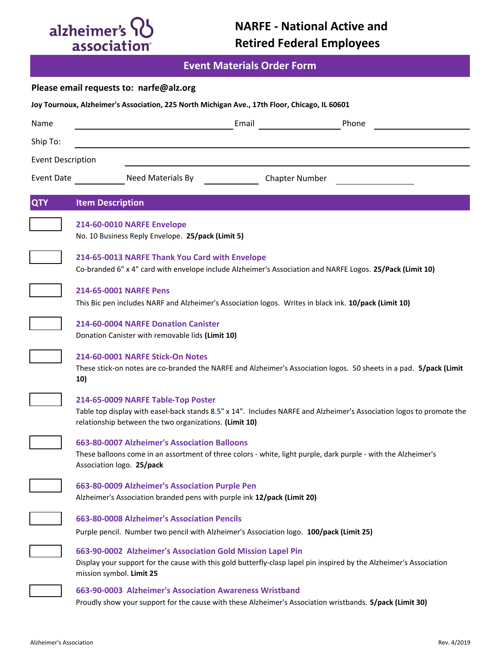# alzheimer's QJ

**Event Materials Order Form**

|  |  | Please email requests to: narfe@alz.org |
|--|--|-----------------------------------------|
|--|--|-----------------------------------------|

| Joy Tournoux, Alzheimer's Association, 225 North Michigan Ave., 17th Floor, Chicago, IL 60601 |                                                                                                                                                                                                               |                                                                                                                                                                                                                      |       |                       |       |  |  |  |
|-----------------------------------------------------------------------------------------------|---------------------------------------------------------------------------------------------------------------------------------------------------------------------------------------------------------------|----------------------------------------------------------------------------------------------------------------------------------------------------------------------------------------------------------------------|-------|-----------------------|-------|--|--|--|
| Name                                                                                          |                                                                                                                                                                                                               |                                                                                                                                                                                                                      | Email |                       | Phone |  |  |  |
| Ship To:                                                                                      |                                                                                                                                                                                                               |                                                                                                                                                                                                                      |       |                       |       |  |  |  |
| <b>Event Description</b>                                                                      |                                                                                                                                                                                                               |                                                                                                                                                                                                                      |       |                       |       |  |  |  |
| <b>Event Date</b>                                                                             |                                                                                                                                                                                                               | Need Materials By                                                                                                                                                                                                    |       | <b>Chapter Number</b> |       |  |  |  |
| <b>QTY</b>                                                                                    | <b>Item Description</b>                                                                                                                                                                                       |                                                                                                                                                                                                                      |       |                       |       |  |  |  |
|                                                                                               |                                                                                                                                                                                                               | <b>214-60-0010 NARFE Envelope</b><br>No. 10 Business Reply Envelope. 25/pack (Limit 5)                                                                                                                               |       |                       |       |  |  |  |
|                                                                                               | 214-65-0013 NARFE Thank You Card with Envelope<br>Co-branded 6" x 4" card with envelope include Alzheimer's Association and NARFE Logos. 25/Pack (Limit 10)                                                   |                                                                                                                                                                                                                      |       |                       |       |  |  |  |
|                                                                                               | 214-65-0001 NARFE Pens<br>This Bic pen includes NARF and Alzheimer's Association logos. Writes in black ink. 10/pack (Limit 10)                                                                               |                                                                                                                                                                                                                      |       |                       |       |  |  |  |
|                                                                                               | 214-60-0004 NARFE Donation Canister<br>Donation Canister with removable lids (Limit 10)                                                                                                                       |                                                                                                                                                                                                                      |       |                       |       |  |  |  |
|                                                                                               | 214-60-0001 NARFE Stick-On Notes<br>These stick-on notes are co-branded the NARFE and Alzheimer's Association logos. 50 sheets in a pad. 5/pack (Limit<br>10)                                                 |                                                                                                                                                                                                                      |       |                       |       |  |  |  |
|                                                                                               |                                                                                                                                                                                                               | 214-65-0009 NARFE Table-Top Poster<br>Table top display with easel-back stands 8.5" x 14". Includes NARFE and Alzheimer's Association logos to promote the<br>relationship between the two organizations. (Limit 10) |       |                       |       |  |  |  |
|                                                                                               |                                                                                                                                                                                                               | 663-80-0007 Alzheimer's Association Balloons<br>These balloons come in an assortment of three colors - white, light purple, dark purple - with the Alzheimer's<br>Association logo. 25/pack                          |       |                       |       |  |  |  |
|                                                                                               | 663-80-0009 Alzheimer's Association Purple Pen<br>Alzheimer's Association branded pens with purple ink 12/pack (Limit 20)                                                                                     |                                                                                                                                                                                                                      |       |                       |       |  |  |  |
|                                                                                               | 663-80-0008 Alzheimer's Association Pencils<br>Purple pencil. Number two pencil with Alzheimer's Association logo. 100/pack (Limit 25)                                                                        |                                                                                                                                                                                                                      |       |                       |       |  |  |  |
|                                                                                               | 663-90-0002 Alzheimer's Association Gold Mission Lapel Pin<br>Display your support for the cause with this gold butterfly-clasp lapel pin inspired by the Alzheimer's Association<br>mission symbol. Limit 25 |                                                                                                                                                                                                                      |       |                       |       |  |  |  |
|                                                                                               | 663-90-0003 Alzheimer's Association Awareness Wristband<br>Proudly show your support for the cause with these Alzheimer's Association wristbands. 5/pack (Limit 30)                                           |                                                                                                                                                                                                                      |       |                       |       |  |  |  |